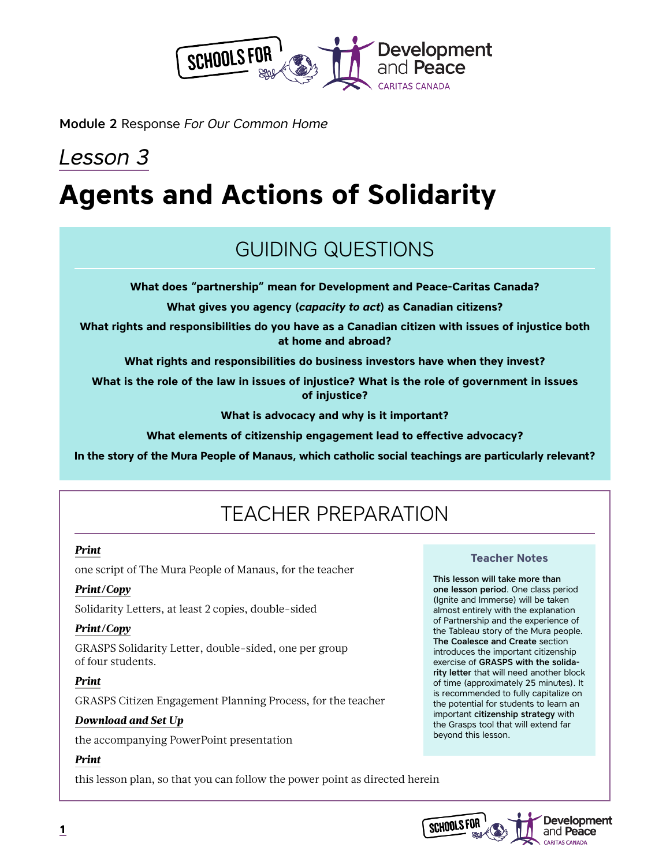

Module 2 Response *For Our Common Home*

# *Lesson 3* **Agents and Actions of Solidarity**

# GUIDING QUESTIONS

**What does "partnership" mean for Development and Peace-Caritas Canada?**

**What gives you agency (***capacity to act***) as Canadian citizens?**

**What rights and responsibilities do you have as a Canadian citizen with issues of injustice both at home and abroad?**

**What rights and responsibilities do business investors have when they invest?**

**What is the role of the law in issues of injustice? What is the role of government in issues of injustice?**

**What is advocacy and why is it important?**

**What elements of citizenship engagement lead to effective advocacy?**

**In the story of the Mura People of Manaus, which catholic social teachings are particularly relevant?**

# TEACHER PREPARATION

#### *Print*

one script of The Mura People of Manaus, for the teacher

### *Print/Copy*

Solidarity Letters, at least 2 copies, double-sided

### *Print/Copy*

GRASPS Solidarity Letter, double-sided, one per group of four students.

### *Print*

GRASPS Citizen Engagement Planning Process, for the teacher

### *Download and Set Up*

the accompanying PowerPoint presentation

### *Print*

this lesson plan, so that you can follow the power point as directed herein

#### **Teacher Notes**

This lesson will take more than one lesson period. One class period (Ignite and Immerse) will be taken almost entirely with the explanation of Partnership and the experience of the Tableau story of the Mura people. The Coalesce and Create section introduces the important citizenship exercise of GRASPS with the solidarity letter that will need another block of time (approximately 25 minutes). It is recommended to fully capitalize on the potential for students to learn an important citizenship strategy with the Grasps tool that will extend far beyond this lesson.

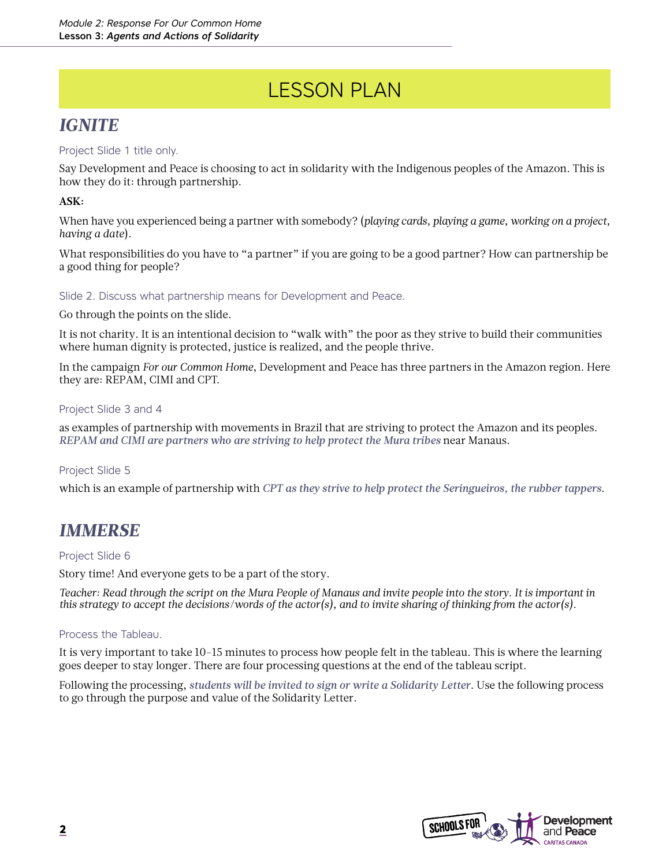# LESSON PLAN

## *IGNITE*

### Project Slide 1 title only.

Say Development and Peace is choosing to act in solidarity with the Indigenous peoples of the Amazon. This is how they do it: through partnership.

### **ASK:**

When have you experienced being a partner with somebody? (*playing cards, playing a game, working on a project, having a date*).

What responsibilities do you have to "a partner" if you are going to be a good partner? How can partnership be a good thing for people?

Slide 2. Discuss what partnership means for Development and Peace.

Go through the points on the slide.

It is not charity. It is an intentional decision to "walk with" the poor as they strive to build their communities where human dignity is protected, justice is realized, and the people thrive.

In the campaign *For our Common Home*, Development and Peace has three partners in the Amazon region. Here they are: REPAM, CIMI and CPT.

#### Project Slide 3 and 4

as examples of partnership with movements in Brazil that are striving to protect the Amazon and its peoples. *REPAM and CIMI are partners who are striving to help protect the Mura tribes* near Manaus.

#### Project Slide 5

which is an example of partnership with *CPT as they strive to help protect the Seringueiros, the rubber tappers*.

### *IMMERSE*

#### Project Slide 6

Story time! And everyone gets to be a part of the story.

*Teacher: Read through the script on the Mura People of Manaus and invite people into the story. It is important in this strategy to accept the decisions/words of the actor(s), and to invite sharing of thinking from the actor(s).* 

#### Process the Tableau.

It is very important to take 10-15 minutes to process how people felt in the tableau. This is where the learning goes deeper to stay longer. There are four processing questions at the end of the tableau script.

Following the processing, *students will be invited to sign or write a Solidarity Letter*. Use the following process to go through the purpose and value of the Solidarity Letter.

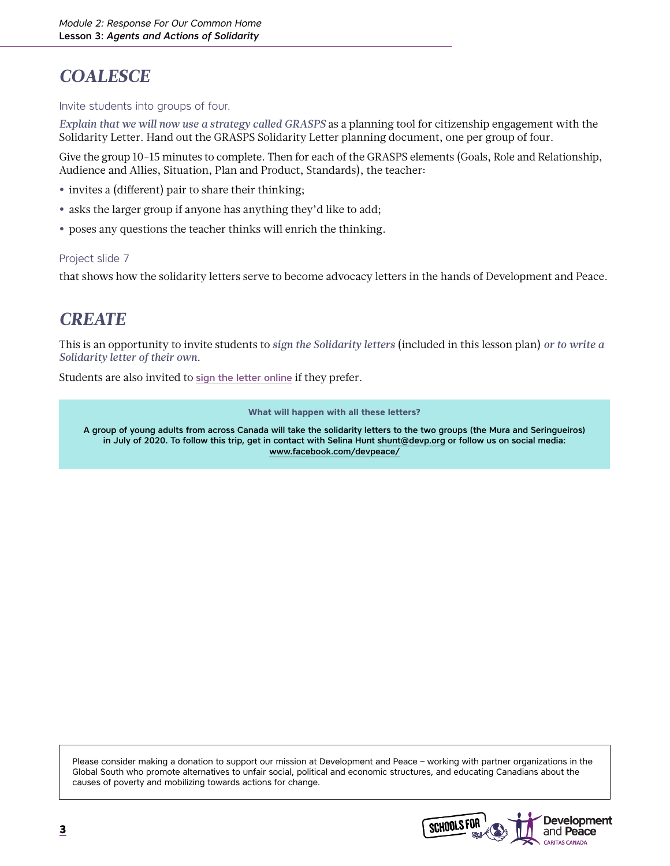# *COALESCE*

#### Invite students into groups of four.

*Explain that we will now use a strategy called GRASPS* as a planning tool for citizenship engagement with the Solidarity Letter. Hand out the GRASPS Solidarity Letter planning document, one per group of four.

Give the group 10-15 minutes to complete. Then for each of the GRASPS elements (Goals, Role and Relationship, Audience and Allies, Situation, Plan and Product, Standards), the teacher:

- **•** invites a (different) pair to share their thinking;
- **•** asks the larger group if anyone has anything they'd like to add;
- **•** poses any questions the teacher thinks will enrich the thinking.

#### Project slide 7

that shows how the solidarity letters serve to become advocacy letters in the hands of Development and Peace.

## *CREATE*

This is an opportunity to invite students to *sign the Solidarity letters* (included in this lesson plan) *or to write a Solidarity letter of their own*.

Students are also invited to [sign the letter online](https://www.devp.org/en/campaign/forourcommonhome/action) if they prefer.

**What will happen with all these letters?** 

A group of young adults from across Canada will take the solidarity letters to the two groups (the Mura and Seringueiros) in July of 2020. To follow this trip, get in contact with Selina Hunt [shunt@devp.org](mailto:mailto:shunt%40devp.org?subject=) or follow us on social media: [www.facebook.com/devpeace/](http://www.facebook.com/devpeace/)

Please consider making a donation to support our mission at Development and Peace – working with partner organizations in the Global South who promote alternatives to unfair social, political and economic structures, and educating Canadians about the causes of poverty and mobilizing towards actions for change.

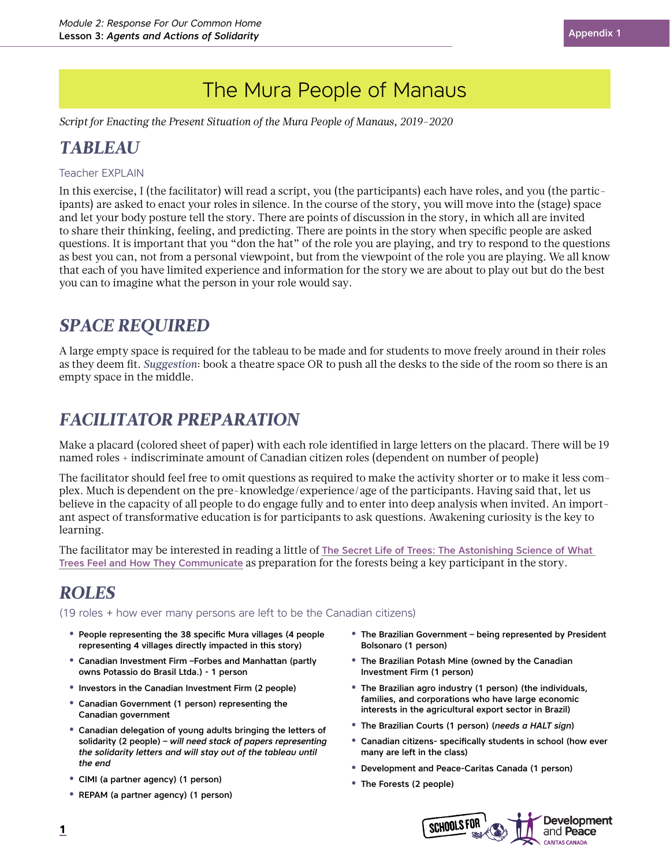*Script for Enacting the Present Situation of the Mura People of Manaus, 2019-2020*

# *TABLEAU*

#### Teacher EXPLAIN

In this exercise, I (the facilitator) will read a script, you (the participants) each have roles, and you (the participants) are asked to enact your roles in silence. In the course of the story, you will move into the (stage) space and let your body posture tell the story. There are points of discussion in the story, in which all are invited to share their thinking, feeling, and predicting. There are points in the story when specific people are asked questions. It is important that you "don the hat" of the role you are playing, and try to respond to the questions as best you can, not from a personal viewpoint, but from the viewpoint of the role you are playing. We all know that each of you have limited experience and information for the story we are about to play out but do the best you can to imagine what the person in your role would say.

## *SPACE REQUIRED*

A large empty space is required for the tableau to be made and for students to move freely around in their roles as they deem fit. *Suggestion*: book a theatre space OR to push all the desks to the side of the room so there is an empty space in the middle.

## *FACILITATOR PREPARATION*

Make a placard (colored sheet of paper) with each role identified in large letters on the placard. There will be 19 named roles + indiscriminate amount of Canadian citizen roles (dependent on number of people)

The facilitator should feel free to omit questions as required to make the activity shorter or to make it less complex. Much is dependent on the pre-knowledge/experience/age of the participants. Having said that, let us believe in the capacity of all people to do engage fully and to enter into deep analysis when invited. An important aspect of transformative education is for participants to ask questions. Awakening curiosity is the key to learning.

The facilitator may be interested in reading a little of [The Secret Life of Trees: The Astonishing Science of What](https://www.brainpickings.org/2016/09/26/the-hidden-life-of-trees-peter-wohlleben/)  [Trees Feel and How They Communicate](https://www.brainpickings.org/2016/09/26/the-hidden-life-of-trees-peter-wohlleben/) as preparation for the forests being a key participant in the story.

## *ROLES*

(19 roles + how ever many persons are left to be the Canadian citizens)

- **•** People representing the 38 specific Mura villages (4 people representing 4 villages directly impacted in this story)
- **•** Canadian Investment Firm –Forbes and Manhattan (partly owns Potassio do Brasil Ltda.) - 1 person
- **•** Investors in the Canadian Investment Firm (2 people)
- **•** Canadian Government (1 person) representing the Canadian government
- **•** Canadian delegation of young adults bringing the letters of solidarity (2 people) – *will need stack of papers representing the solidarity letters and will stay out of the tableau until the end*
- **•** CIMI (a partner agency) (1 person)
- **•** REPAM (a partner agency) (1 person)
- **•** The Brazilian Government being represented by President Bolsonaro (1 person)
- **•** The Brazilian Potash Mine (owned by the Canadian Investment Firm (1 person)
- **•** The Brazilian agro industry (1 person) (the individuals, families, and corporations who have large economic interests in the agricultural export sector in Brazil)
- **•** The Brazilian Courts (1 person) (*needs a HALT sign*)
- **•** Canadian citizens- specifically students in school (how ever many are left in the class)
- **•** Development and Peace-Caritas Canada (1 person)
- **•** The Forests (2 people)



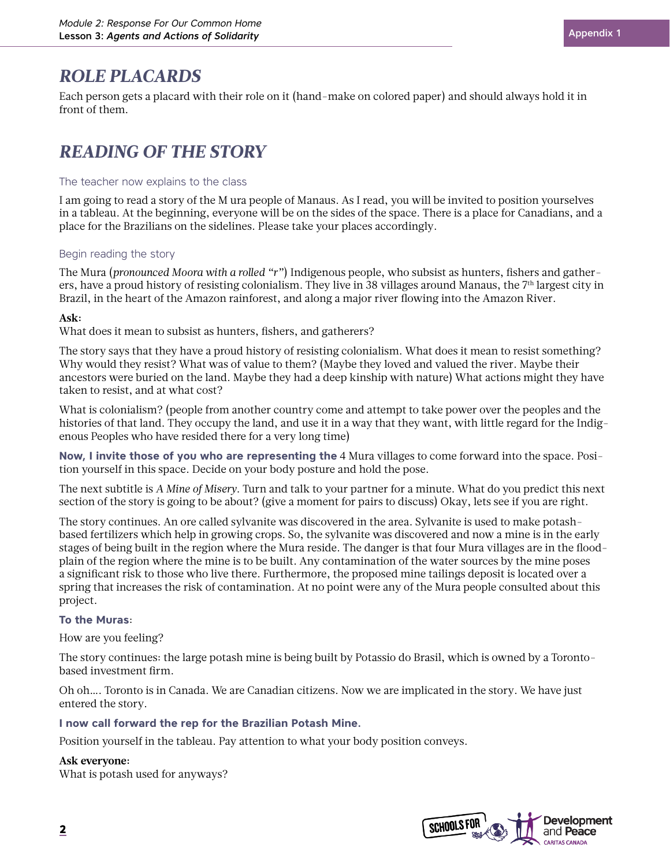## *ROLE PLACARDS*

Each person gets a placard with their role on it (hand-make on colored paper) and should always hold it in front of them.

# *READING OF THE STORY*

#### The teacher now explains to the class

I am going to read a story of the M ura people of Manaus. As I read, you will be invited to position yourselves in a tableau. At the beginning, everyone will be on the sides of the space. There is a place for Canadians, and a place for the Brazilians on the sidelines. Please take your places accordingly.

#### Begin reading the story

The Mura (*pronounced Moora with a rolled "r"*) Indigenous people, who subsist as hunters, fishers and gatherers, have a proud history of resisting colonialism. They live in 38 villages around Manaus, the 7th largest city in Brazil, in the heart of the Amazon rainforest, and along a major river flowing into the Amazon River.

#### **Ask:**

What does it mean to subsist as hunters, fishers, and gatherers?

The story says that they have a proud history of resisting colonialism. What does it mean to resist something? Why would they resist? What was of value to them? (Maybe they loved and valued the river. Maybe their ancestors were buried on the land. Maybe they had a deep kinship with nature) What actions might they have taken to resist, and at what cost?

What is colonialism? (people from another country come and attempt to take power over the peoples and the histories of that land. They occupy the land, and use it in a way that they want, with little regard for the Indigenous Peoples who have resided there for a very long time)

**Now, I invite those of you who are representing the** 4 Mura villages to come forward into the space. Position yourself in this space. Decide on your body posture and hold the pose.

The next subtitle is *A Mine of Misery*. Turn and talk to your partner for a minute. What do you predict this next section of the story is going to be about? (give a moment for pairs to discuss) Okay, lets see if you are right.

The story continues. An ore called sylvanite was discovered in the area. Sylvanite is used to make potashbased fertilizers which help in growing crops. So, the sylvanite was discovered and now a mine is in the early stages of being built in the region where the Mura reside. The danger is that four Mura villages are in the floodplain of the region where the mine is to be built. Any contamination of the water sources by the mine poses a significant risk to those who live there. Furthermore, the proposed mine tailings deposit is located over a spring that increases the risk of contamination. At no point were any of the Mura people consulted about this project.

#### **To the Muras**:

How are you feeling?

The story continues: the large potash mine is being built by Potassio do Brasil, which is owned by a Torontobased investment firm.

Oh oh…. Toronto is in Canada. We are Canadian citizens. Now we are implicated in the story. We have just entered the story.

#### **I now call forward the rep for the Brazilian Potash Mine.**

Position yourself in the tableau. Pay attention to what your body position conveys.

#### **Ask everyone:**

What is potash used for anyways?

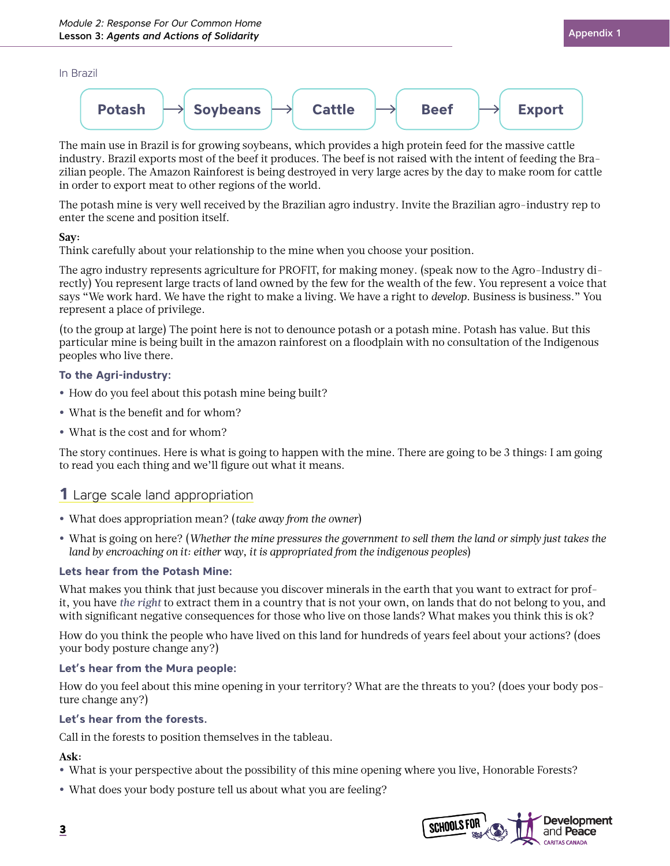#### In Brazil



The main use in Brazil is for growing soybeans, which provides a high protein feed for the massive cattle industry. Brazil exports most of the beef it produces. The beef is not raised with the intent of feeding the Brazilian people. The Amazon Rainforest is being destroyed in very large acres by the day to make room for cattle in order to export meat to other regions of the world.

The potash mine is very well received by the Brazilian agro industry. Invite the Brazilian agro-industry rep to enter the scene and position itself.

#### **Say:**

Think carefully about your relationship to the mine when you choose your position.

The agro industry represents agriculture for PROFIT, for making money. (speak now to the Agro-Industry directly) You represent large tracts of land owned by the few for the wealth of the few. You represent a voice that says "We work hard. We have the right to make a living. We have a right to *develop*. Business is business." You represent a place of privilege.

(to the group at large) The point here is not to denounce potash or a potash mine. Potash has value. But this particular mine is being built in the amazon rainforest on a floodplain with no consultation of the Indigenous peoples who live there.

#### **To the Agri-industry:**

- **•** How do you feel about this potash mine being built?
- **•** What is the benefit and for whom?
- **•** What is the cost and for whom?

The story continues. Here is what is going to happen with the mine. There are going to be 3 things: I am going to read you each thing and we'll figure out what it means.

### **1** Large scale land appropriation

- **•** What does appropriation mean? (*take away from the owner*)
- **•** What is going on here? (*Whether the mine pressures the government to sell them the land or simply just takes the land by encroaching on it: either way, it is appropriated from the indigenous peoples*)

#### **Lets hear from the Potash Mine:**

What makes you think that just because you discover minerals in the earth that you want to extract for profit, you have *the right* to extract them in a country that is not your own, on lands that do not belong to you, and with significant negative consequences for those who live on those lands? What makes you think this is ok?

How do you think the people who have lived on this land for hundreds of years feel about your actions? (does your body posture change any?)

#### **Let's hear from the Mura people:**

How do you feel about this mine opening in your territory? What are the threats to you? (does your body posture change any?)

#### **Let's hear from the forests.**

Call in the forests to position themselves in the tableau.

#### **Ask:**

- **•** What is your perspective about the possibility of this mine opening where you live, Honorable Forests?
- **•** What does your body posture tell us about what you are feeling?

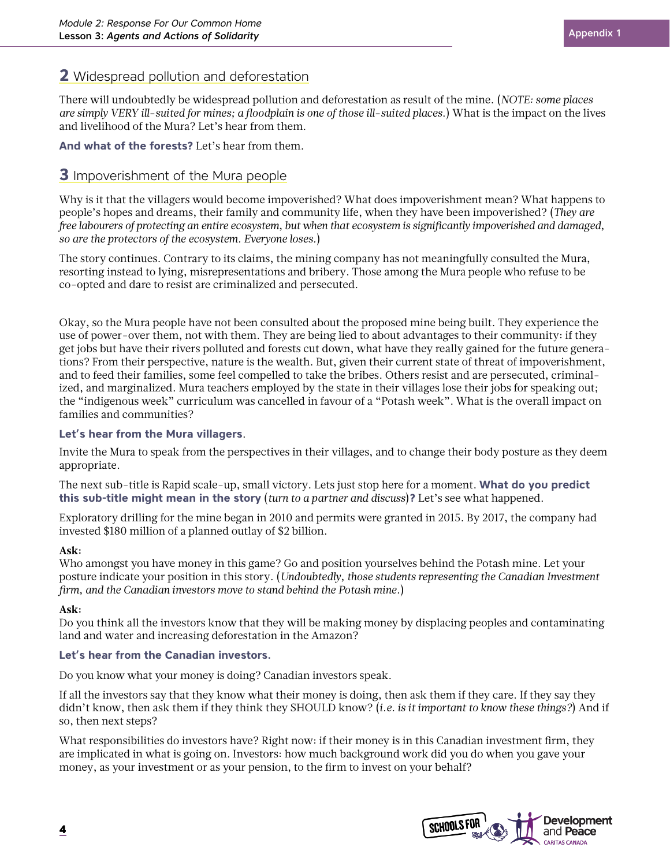### **2** Widespread pollution and deforestation

There will undoubtedly be widespread pollution and deforestation as result of the mine. (*NOTE: some places are simply VERY ill-suited for mines; a floodplain is one of those ill-suited places*.) What is the impact on the lives and livelihood of the Mura? Let's hear from them.

**And what of the forests?** Let's hear from them.

### **3** Impoverishment of the Mura people

Why is it that the villagers would become impoverished? What does impoverishment mean? What happens to people's hopes and dreams, their family and community life, when they have been impoverished? (*They are free labourers of protecting an entire ecosystem, but when that ecosystem is significantly impoverished and damaged, so are the protectors of the ecosystem. Everyone loses.*)

The story continues. Contrary to its claims, the mining company has not meaningfully consulted the Mura, resorting instead to lying, misrepresentations and bribery. Those among the Mura people who refuse to be co-opted and dare to resist are criminalized and persecuted.

Okay, so the Mura people have not been consulted about the proposed mine being built. They experience the use of power-over them, not with them. They are being lied to about advantages to their community: if they get jobs but have their rivers polluted and forests cut down, what have they really gained for the future generations? From their perspective, nature is the wealth. But, given their current state of threat of impoverishment, and to feed their families, some feel compelled to take the bribes. Others resist and are persecuted, criminalized, and marginalized. Mura teachers employed by the state in their villages lose their jobs for speaking out; the "indigenous week" curriculum was cancelled in favour of a "Potash week". What is the overall impact on families and communities?

#### **Let's hear from the Mura villagers**.

Invite the Mura to speak from the perspectives in their villages, and to change their body posture as they deem appropriate.

The next sub-title is Rapid scale-up, small victory. Lets just stop here for a moment. **What do you predict this sub-title might mean in the story** (*turn to a partner and discuss*)**?** Let's see what happened.

Exploratory drilling for the mine began in 2010 and permits were granted in 2015. By 2017, the company had invested \$180 million of a planned outlay of \$2 billion.

#### **Ask:**

Who amongst you have money in this game? Go and position yourselves behind the Potash mine. Let your posture indicate your position in this story. (*Undoubtedly, those students representing the Canadian Investment firm, and the Canadian investors move to stand behind the Potash mine.*)

#### **Ask:**

Do you think all the investors know that they will be making money by displacing peoples and contaminating land and water and increasing deforestation in the Amazon?

#### **Let's hear from the Canadian investors.**

Do you know what your money is doing? Canadian investors speak.

If all the investors say that they know what their money is doing, then ask them if they care. If they say they didn't know, then ask them if they think they SHOULD know? (*i.e. is it important to know these things?*) And if so, then next steps?

What responsibilities do investors have? Right now: if their money is in this Canadian investment firm, they are implicated in what is going on. Investors: how much background work did you do when you gave your money, as your investment or as your pension, to the firm to invest on your behalf?

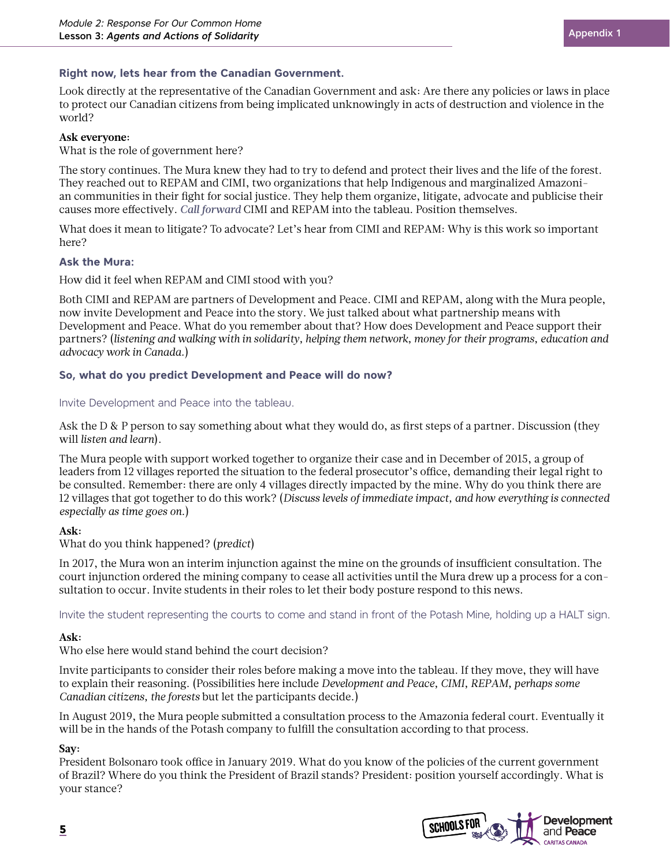#### **Right now, lets hear from the Canadian Government.**

Look directly at the representative of the Canadian Government and ask: Are there any policies or laws in place to protect our Canadian citizens from being implicated unknowingly in acts of destruction and violence in the world?

#### **Ask everyone:**

What is the role of government here?

The story continues. The Mura knew they had to try to defend and protect their lives and the life of the forest. They reached out to REPAM and CIMI, two organizations that help Indigenous and marginalized Amazonian communities in their fight for social justice. They help them organize, litigate, advocate and publicise their causes more effectively. *Call forward* CIMI and REPAM into the tableau. Position themselves.

What does it mean to litigate? To advocate? Let's hear from CIMI and REPAM: Why is this work so important here?

#### **Ask the Mura:**

How did it feel when REPAM and CIMI stood with you?

Both CIMI and REPAM are partners of Development and Peace. CIMI and REPAM, along with the Mura people, now invite Development and Peace into the story. We just talked about what partnership means with Development and Peace. What do you remember about that? How does Development and Peace support their partners? (*listening and walking with in solidarity, helping them network, money for their programs, education and advocacy work in Canada.*)

#### **So, what do you predict Development and Peace will do now?**

#### Invite Development and Peace into the tableau.

Ask the D & P person to say something about what they would do, as first steps of a partner. Discussion (they will *listen and learn*).

The Mura people with support worked together to organize their case and in December of 2015, a group of leaders from 12 villages reported the situation to the federal prosecutor's office, demanding their legal right to be consulted. Remember: there are only 4 villages directly impacted by the mine. Why do you think there are 12 villages that got together to do this work? (*Discuss levels of immediate impact, and how everything is connected especially as time goes on.*)

#### **Ask:**

What do you think happened? (*predict*)

In 2017, the Mura won an interim injunction against the mine on the grounds of insufficient consultation. The court injunction ordered the mining company to cease all activities until the Mura drew up a process for a consultation to occur. Invite students in their roles to let their body posture respond to this news.

Invite the student representing the courts to come and stand in front of the Potash Mine, holding up a HALT sign.

#### **Ask:**

Who else here would stand behind the court decision?

Invite participants to consider their roles before making a move into the tableau. If they move, they will have to explain their reasoning. (Possibilities here include *Development and Peace, CIMI, REPAM, perhaps some Canadian citizens, the forests* but let the participants decide.)

In August 2019, the Mura people submitted a consultation process to the Amazonia federal court. Eventually it will be in the hands of the Potash company to fulfill the consultation according to that process.

#### **Say:**

President Bolsonaro took office in January 2019. What do you know of the policies of the current government of Brazil? Where do you think the President of Brazil stands? President: position yourself accordingly. What is your stance?

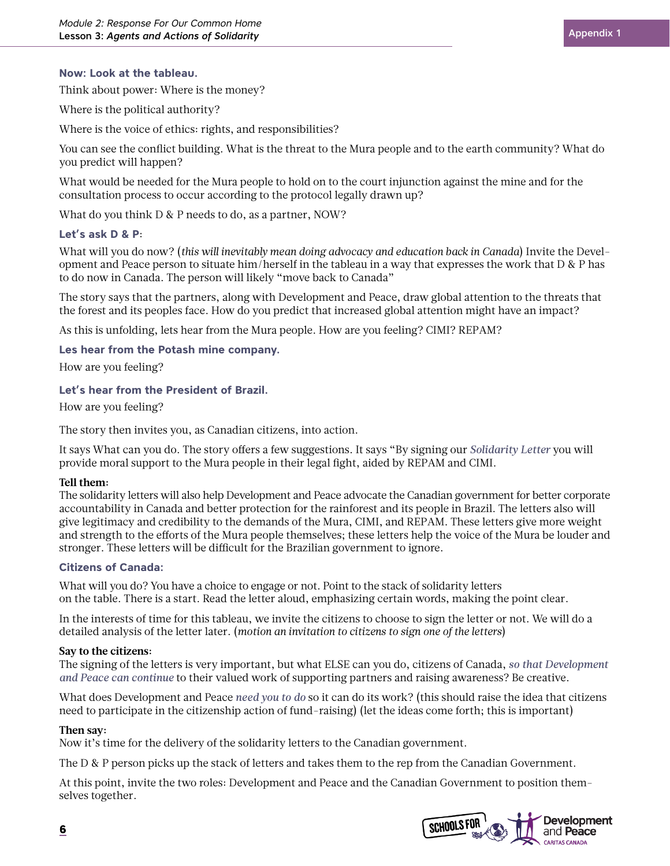Think about power: Where is the money?

Where is the political authority?

Where is the voice of ethics: rights, and responsibilities?

You can see the conflict building. What is the threat to the Mura people and to the earth community? What do you predict will happen?

What would be needed for the Mura people to hold on to the court injunction against the mine and for the consultation process to occur according to the protocol legally drawn up?

What do you think D & P needs to do, as a partner, NOW?

#### **Let's ask D & P**:

What will you do now? (*this will inevitably mean doing advocacy and education back in Canada*) Invite the Development and Peace person to situate him/herself in the tableau in a way that expresses the work that D & P has to do now in Canada. The person will likely "move back to Canada"

The story says that the partners, along with Development and Peace, draw global attention to the threats that the forest and its peoples face. How do you predict that increased global attention might have an impact?

As this is unfolding, lets hear from the Mura people. How are you feeling? CIMI? REPAM?

#### **Les hear from the Potash mine company.**

How are you feeling?

#### **Let's hear from the President of Brazil.**

How are you feeling?

The story then invites you, as Canadian citizens, into action.

It says What can you do. The story offers a few suggestions. It says "By signing our *Solidarity Letter* you will provide moral support to the Mura people in their legal fight, aided by REPAM and CIMI.

#### **Tell them:**

The solidarity letters will also help Development and Peace advocate the Canadian government for better corporate accountability in Canada and better protection for the rainforest and its people in Brazil. The letters also will give legitimacy and credibility to the demands of the Mura, CIMI, and REPAM. These letters give more weight and strength to the efforts of the Mura people themselves; these letters help the voice of the Mura be louder and stronger. These letters will be difficult for the Brazilian government to ignore.

#### **Citizens of Canada:**

What will you do? You have a choice to engage or not. Point to the stack of solidarity letters on the table. There is a start. Read the letter aloud, emphasizing certain words, making the point clear.

In the interests of time for this tableau, we invite the citizens to choose to sign the letter or not. We will do a detailed analysis of the letter later. (*motion an invitation to citizens to sign one of the letters*)

#### **Say to the citizens:**

The signing of the letters is very important, but what ELSE can you do, citizens of Canada, *so that Development and Peace can continue* to their valued work of supporting partners and raising awareness? Be creative.

What does Development and Peace *need you to do* so it can do its work? (this should raise the idea that citizens need to participate in the citizenship action of fund-raising) (let the ideas come forth; this is important)

#### **Then say:**

Now it's time for the delivery of the solidarity letters to the Canadian government.

The D & P person picks up the stack of letters and takes them to the rep from the Canadian Government.

At this point, invite the two roles: Development and Peace and the Canadian Government to position themselves together.

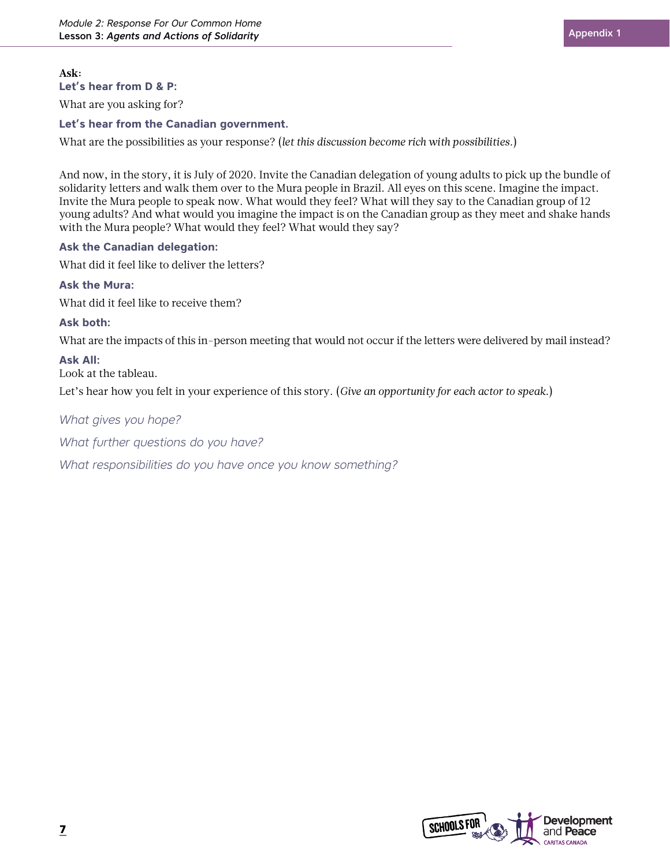What are you asking for?

#### **Let's hear from the Canadian government.**

What are the possibilities as your response? (*let this discussion become rich with possibilities.*)

And now, in the story, it is July of 2020. Invite the Canadian delegation of young adults to pick up the bundle of solidarity letters and walk them over to the Mura people in Brazil. All eyes on this scene. Imagine the impact. Invite the Mura people to speak now. What would they feel? What will they say to the Canadian group of 12 young adults? And what would you imagine the impact is on the Canadian group as they meet and shake hands with the Mura people? What would they feel? What would they say?

#### **Ask the Canadian delegation:**

What did it feel like to deliver the letters?

#### **Ask the Mura:**

What did it feel like to receive them?

#### **Ask both:**

What are the impacts of this in-person meeting that would not occur if the letters were delivered by mail instead?

#### **Ask All:**

Look at the tableau.

Let's hear how you felt in your experience of this story. (*Give an opportunity for each actor to speak.*)

#### *What gives you hope?*

*What further questions do you have?* 

*What responsibilities do you have once you know something?*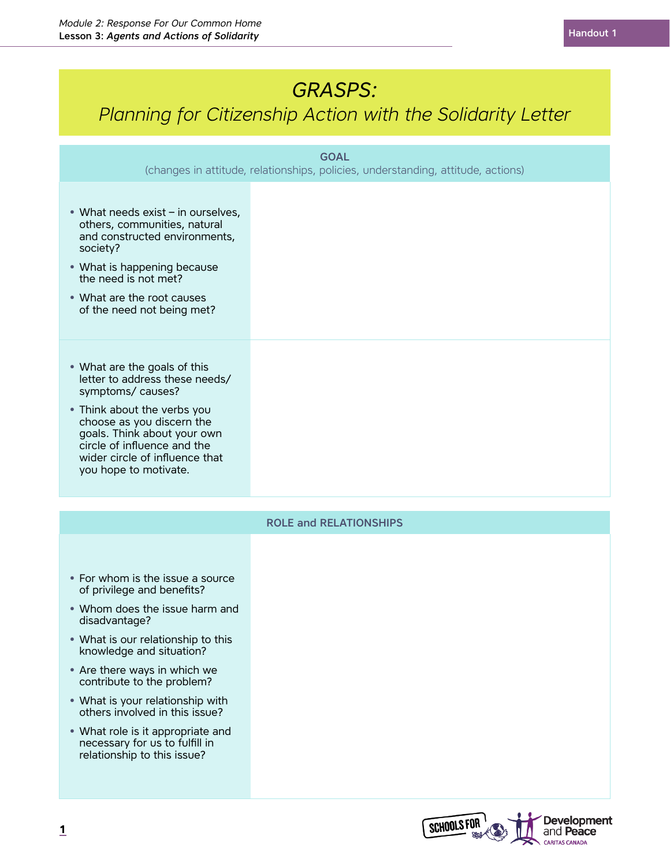# *GRASPS:*

# *Planning for Citizenship Action with the Solidarity Letter*

| <b>GOAL</b><br>(changes in attitude, relationships, policies, understanding, attitude, actions)                                                                                                                                                                                                                         |  |  |  |  |
|-------------------------------------------------------------------------------------------------------------------------------------------------------------------------------------------------------------------------------------------------------------------------------------------------------------------------|--|--|--|--|
|                                                                                                                                                                                                                                                                                                                         |  |  |  |  |
| • What needs exist - in ourselves,<br>others, communities, natural<br>and constructed environments,<br>society?                                                                                                                                                                                                         |  |  |  |  |
| • What is happening because<br>the need is not met?                                                                                                                                                                                                                                                                     |  |  |  |  |
| • What are the root causes<br>of the need not being met?                                                                                                                                                                                                                                                                |  |  |  |  |
| • What are the goals of this<br>letter to address these needs/<br>symptoms/causes?<br>• Think about the verbs you<br>choose as you discern the<br>goals. Think about your own<br>circle of influence and the<br>wider circle of influence that<br>you hope to motivate.                                                 |  |  |  |  |
| <b>ROLE and RELATIONSHIPS</b>                                                                                                                                                                                                                                                                                           |  |  |  |  |
| • For whom is the issue a source<br>of privilege and benefits?<br>• Whom does the issue harm and<br>disadvantage?<br>• What is our relationship to this<br>knowledge and situation?<br>• Are there ways in which we<br>contribute to the problem?<br>• What is your relationship with<br>others involved in this issue? |  |  |  |  |
| • What role is it appropriate and<br>necessary for us to fulfill in<br>relationship to this issue?                                                                                                                                                                                                                      |  |  |  |  |

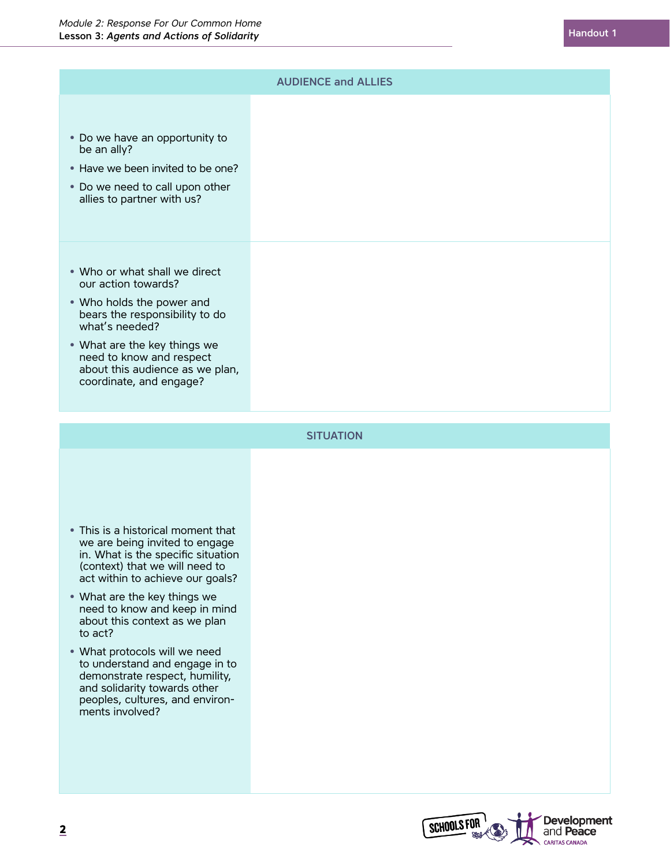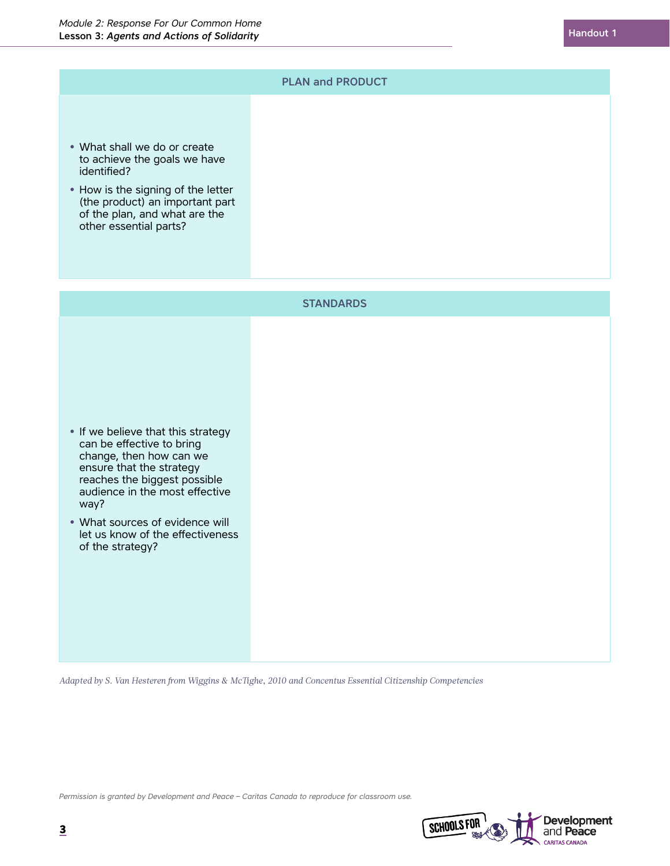

*Adapted by S. Van Hesteren from Wiggins & McTighe, 2010 and Concentus Essential Citizenship Competencies*

*Permission is granted by Development and Peace – Caritas Canada to reproduce for classroom use.*